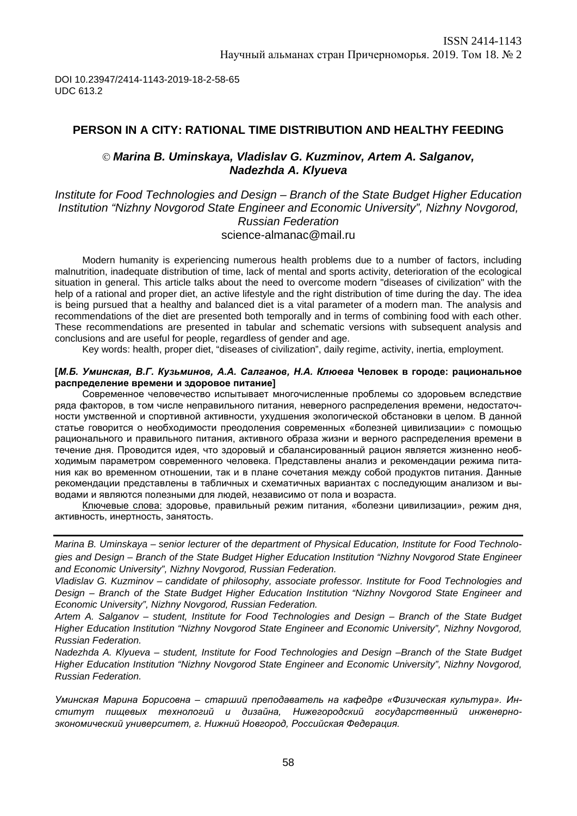## **PERSON IN A CITY: RATIONAL TIME DISTRIBUTION AND HEALTHY FEEDING**

## *Marina B. Uminskaya, Vladislav G. Kuzminov, Artem A. Salganov, Nadezhda A. Klyueva*

### *Institute for Food Technologies and Design – Branch of the State Budget Higher Education Institution "Nizhny Novgorod State Engineer and Economic University", Nizhny Novgorod, Russian Federation* [science-almanac@mail.ru](mailto:science-almanac@mail.ru)

Modern humanity is experiencing numerous health problems due to a number of factors, including malnutrition, inadequate distribution of time, lack of mental and sports activity, deterioration of the ecological situation in general. This article talks about the need to overcome modern "diseases of civilization" with the help of a rational and proper diet, an active lifestyle and the right distribution of time during the day. The idea is being pursued that a healthy and balanced diet is a vital parameter of a modern man. The analysis and recommendations of the diet are presented both temporally and in terms of combining food with each other. These recommendations are presented in tabular and schematic versions with subsequent analysis and conclusions and are useful for people, regardless of gender and age.

Key words: health, proper diet, "diseases of civilization", daily regime, activity, inertia, employment.

#### **[***М.Б. Уминская, В.Г. Кузьминов, А.А. Салганов, Н.А. Клюева* **Человек в городе: рациональное распределение времени и здоровое питание]**

Современное человечество испытывает многочисленные проблемы со здоровьем вследствие ряда факторов, в том числе неправильного питания, неверного распределения времени, недостаточности умственной и спортивной активности, ухудшения экологической обстановки в целом. В данной статье говорится о необходимости преодоления современных «болезней цивилизации» с помощью рационального и правильного питания, активного образа жизни и верного распределения времени в течение дня. Проводится идея, что здоровый и сбалансированный рацион является жизненно необходимым параметром современного человека. Представлены анализ и рекомендации режима питания как во временном отношении, так и в плане сочетания между собой продуктов питания. Данные рекомендации представлены в табличных и схематичных вариантах с последующим анализом и выводами и являются полезными для людей, независимо от пола и возраста.

Ключевые слова: здоровье, правильный режим питания, «болезни цивилизации», режим дня, активность, инертность, занятость.

*Marina B. Uminskaya – senior lecturer* of *the department of Physical Education, Institute for Food Technologies and Design – Branch of the State Budget Higher Education Institution "Nizhny Novgorod State Engineer and Economic University", Nizhny Novgorod, Russian Federation.*

*Vladislav G. Kuzminov – candidate of philosophy, associate professor. Institute for Food Technologies and Design – Branch of the State Budget Higher Education Institution "Nizhny Novgorod State Engineer and Economic University", Nizhny Novgorod, Russian Federation.*

*Artem A. Salganov – student, Institute for Food Technologies and Design – Branch of the State Budget Higher Education Institution "Nizhny Novgorod State Engineer and Economic University", Nizhny Novgorod, Russian Federation.* 

*Nadezhda A. Klyueva – student, Institute for Food Technologies and Design –Branch of the State Budget Higher Education Institution "Nizhny Novgorod State Engineer and Economic University", Nizhny Novgorod, Russian Federation.* 

*Уминская Марина Борисовна – старший преподаватель на кафедре «Физическая культура». Институт пищевых технологий и дизайна, Нижегородский государственный инженерноэкономический университет, г. Нижний Новгород, Российская Федерация.*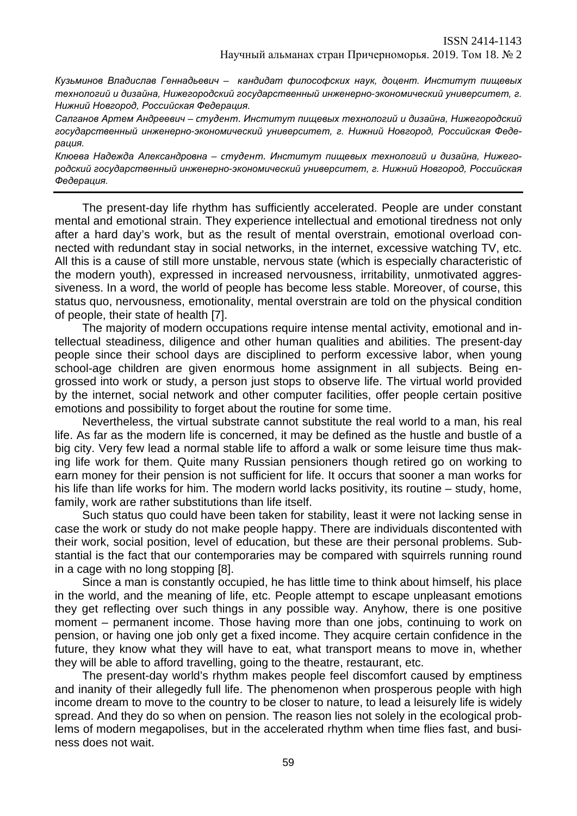*Кузьминов Владислав Геннадьевич – кандидат философских наук, доцент. Институт пищевых технологий и дизайна, Нижегородский государственный инженерно-экономический университет, г. Нижний Новгород, Российская Федерация.*

*Салганов Артем Андреевич – студент. Институт пищевых технологий и дизайна, Нижегородский государственный инженерно-экономический университет, г. Нижний Новгород, Российская Федерация.*

*Клюева Надежда Александровна – студент. Институт пищевых технологий и дизайна, Нижегородский государственный инженерно-экономический университет, г. Нижний Новгород, Российская Федерация.*

The present-day life rhythm has sufficiently accelerated. People are under constant mental and emotional strain. They experience intellectual and emotional tiredness not only after a hard day's work, but as the result of mental overstrain, emotional overload connected with redundant stay in social networks, in the internet, excessive watching TV, etc. All this is a cause of still more unstable, nervous state (which is especially characteristic of the modern youth), expressed in increased nervousness, irritability, unmotivated aggressiveness. In a word, the world of people has become less stable. Moreover, of course, this status quo, nervousness, emotionality, mental overstrain are told on the physical condition of people, their state of health [7].

The majority of modern occupations require intense mental activity, emotional and intellectual steadiness, diligence and other human qualities and abilities. The present-day people since their school days are disciplined to perform excessive labor, when young school-age children are given enormous home assignment in all subjects. Being engrossed into work or study, a person just stops to observe life. The virtual world provided by the internet, social network and other computer facilities, offer people certain positive emotions and possibility to forget about the routine for some time.

Nevertheless, the virtual substrate cannot substitute the real world to a man, his real life. As far as the modern life is concerned, it may be defined as the hustle and bustle of a big city. Very few lead a normal stable life to afford a walk or some leisure time thus making life work for them. Quite many Russian pensioners though retired go on working to earn money for their pension is not sufficient for life. It occurs that sooner a man works for his life than life works for him. The modern world lacks positivity, its routine – study, home, family, work are rather substitutions than life itself.

Such status quo could have been taken for stability, least it were not lacking sense in case the work or study do not make people happy. There are individuals discontented with their work, social position, level of education, but these are their personal problems. Substantial is the fact that our contemporaries may be compared with squirrels running round in a cage with no long stopping [8].

Since a man is constantly occupied, he has little time to think about himself, his place in the world, and the meaning of life, etc. People attempt to escape unpleasant emotions they get reflecting over such things in any possible way. Anyhow, there is one positive moment – permanent income. Those having more than one jobs, continuing to work on pension, or having one job only get a fixed income. They acquire certain confidence in the future, they know what they will have to eat, what transport means to move in, whether they will be able to afford travelling, going to the theatre, restaurant, etc.

The present-day world's rhythm makes people feel discomfort caused by emptiness and inanity of their allegedly full life. The phenomenon when prosperous people with high income dream to move to the country to be closer to nature, to lead a leisurely life is widely spread. And they do so when on pension. The reason lies not solely in the ecological problems of modern megapolises, but in the accelerated rhythm when time flies fast, and business does not wait.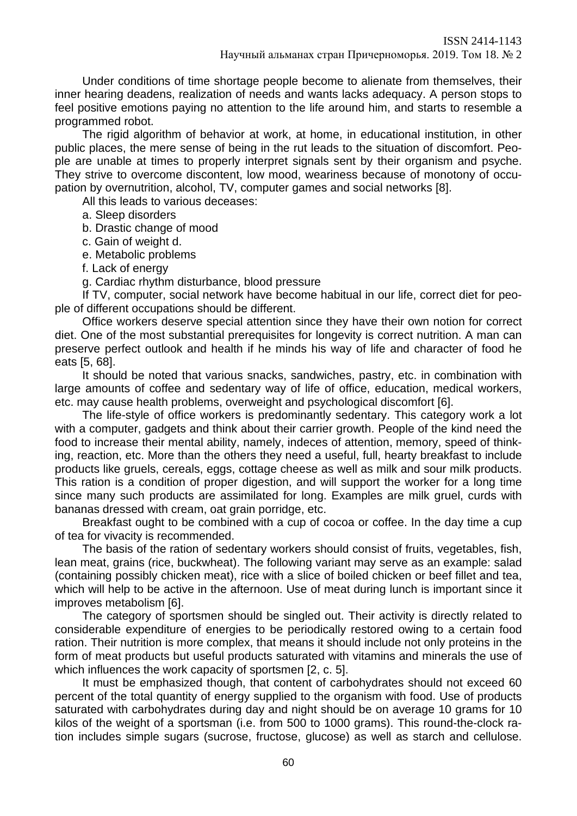Under conditions of time shortage people become to alienate from themselves, their inner hearing deadens, realization of needs and wants lacks adequacy. A person stops to feel positive emotions paying no attention to the life around him, and starts to resemble a programmed robot.

The rigid algorithm of behavior at work, at home, in educational institution, in other public places, the mere sense of being in the rut leads to the situation of discomfort. People are unable at times to properly interpret signals sent by their organism and psyche. They strive to overcome discontent, low mood, weariness because of monotony of occupation by overnutrition, alcohol, TV, computer games and social networks [8].

All this leads to various deceases:

a. Sleep disorders

b. Drastic change of mood

c. Gain of weight d.

e. Metabolic problems

f. Lack of energy

g. Cardiac rhythm disturbance, blood pressure

If TV, computer, social network have become habitual in our life, correct diet for people of different occupations should be different.

Office workers deserve special attention since they have their own notion for correct diet. One of the most substantial prerequisites for longevity is correct nutrition. A man can preserve perfect outlook and health if he minds his way of life and character of food he eats [5, 68].

It should be noted that various snacks, sandwiches, pastry, etc. in combination with large amounts of coffee and sedentary way of life of office, education, medical workers, etc. may cause health problems, overweight and psychological discomfort [6].

The life-style of office workers is predominantly sedentary. This category work a lot with a computer, gadgets and think about their carrier growth. People of the kind need the food to increase their mental ability, namely, indeces of attention, memory, speed of thinking, reaction, etc. More than the others they need a useful, full, hearty breakfast to include products like gruels, cereals, eggs, cottage cheese as well as milk and sour milk products. This ration is a condition of proper digestion, and will support the worker for a long time since many such products are assimilated for long. Examples are milk gruel, curds with bananas dressed with cream, oat grain porridge, etc.

Breakfast ought to be combined with a cup of cocoa or coffee. In the day time a cup of tea for vivacity is recommended.

The basis of the ration of sedentary workers should consist of fruits, vegetables, fish, lean meat, grains (rice, buckwheat). The following variant may serve as an example: salad (containing possibly chicken meat), rice with a slice of boiled chicken or beef fillet and tea, which will help to be active in the afternoon. Use of meat during lunch is important since it improves metabolism [6].

The category of sportsmen should be singled out. Their activity is directly related to considerable expenditure of energies to be periodically restored owing to a certain food ration. Their nutrition is more complex, that means it should include not only proteins in the form of meat products but useful products saturated with vitamins and minerals the use of which influences the work capacity of sportsmen [2, c. 5].

It must be emphasized though, that content of carbohydrates should not exceed 60 percent of the total quantity of energy supplied to the organism with food. Use of products saturated with carbohydrates during day and night should be on average 10 grams for 10 kilos of the weight of a sportsman (i.e. from 500 to 1000 grams). This round-the-clock ration includes simple sugars (sucrose, fructose, glucose) as well as starch and cellulose.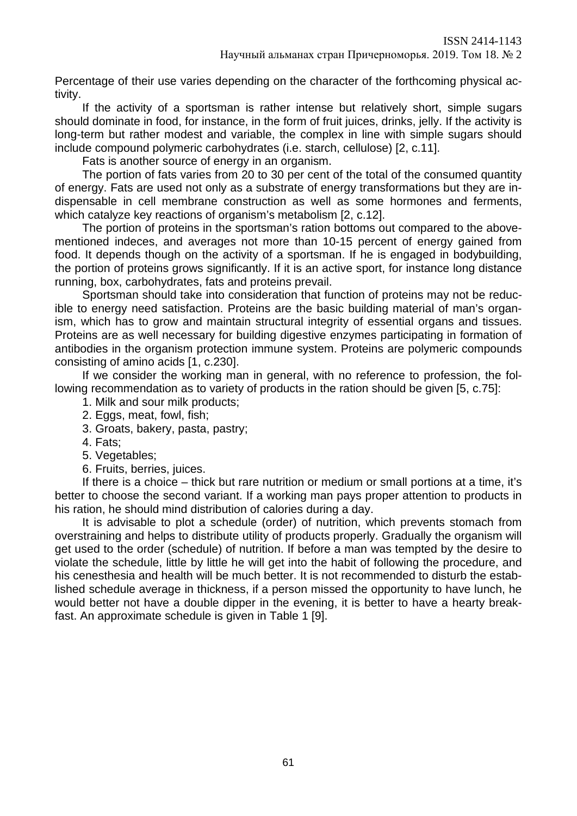Percentage of their use varies depending on the character of the forthcoming physical activity.

If the activity of a sportsman is rather intense but relatively short, simple sugars should dominate in food, for instance, in the form of fruit juices, drinks, jelly. If the activity is long-term but rather modest and variable, the complex in line with simple sugars should include compound polymeric carbohydrates (i.e. starch, cellulose) [2, c.11].

Fats is another source of energy in an organism.

The portion of fats varies from 20 to 30 per cent of the total of the consumed quantity of energy. Fats are used not only as a substrate of energy transformations but they are indispensable in cell membrane construction as well as some hormones and ferments, which catalyze key reactions of organism's metabolism [2, c.12].

The portion of proteins in the sportsman's ration bottoms out compared to the abovementioned indeces, and averages not more than 10-15 percent of energy gained from food. It depends though on the activity of a sportsman. If he is engaged in bodybuilding, the portion of proteins grows significantly. If it is an active sport, for instance long distance running, box, carbohydrates, fats and proteins prevail.

Sportsman should take into consideration that function of proteins may not be reducible to energy need satisfaction. Proteins are the basic building material of man's organism, which has to grow and maintain structural integrity of essential organs and tissues. Proteins are as well necessary for building digestive enzymes participating in formation of antibodies in the organism protection immune system. Proteins are polymeric compounds consisting of amino acids [1, c.230].

If we consider the working man in general, with no reference to profession, the following recommendation as to variety of products in the ration should be given [5, c.75]:

- 1. Milk and sour milk products;
- 2. Eggs, meat, fowl, fish;
- 3. Groats, bakery, pasta, pastry;
- 4. Fats;
- 5. Vegetables;
- 6. Fruits, berries, juices.

If there is a choice – thick but rare nutrition or medium or small portions at a time, it's better to choose the second variant. If a working man pays proper attention to products in his ration, he should mind distribution of calories during a day.

It is advisable to plot a schedule (order) of nutrition, which prevents stomach from overstraining and helps to distribute utility of products properly. Gradually the organism will get used to the order (schedule) of nutrition. If before a man was tempted by the desire to violate the schedule, little by little he will get into the habit of following the procedure, and his cenesthesia and health will be much better. It is not recommended to disturb the established schedule average in thickness, if a person missed the opportunity to have lunch, he would better not have a double dipper in the evening, it is better to have a hearty breakfast. An approximate schedule is given in Table 1 [9].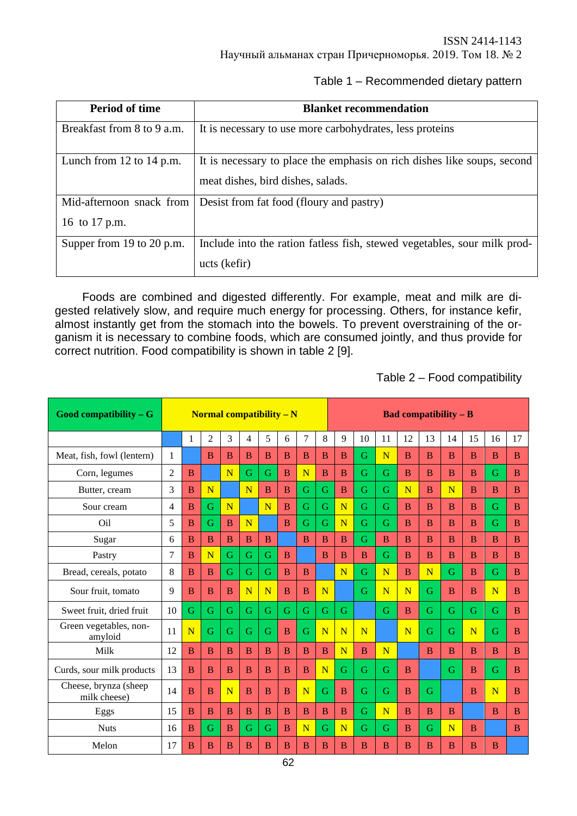Научный альманах стран Причерноморья. 2019. Том 18. № 2

### Table 1 – Recommended dietary pattern

| <b>Period of time</b>                     | <b>Blanket recommendation</b>                                                                                |  |  |  |  |  |
|-------------------------------------------|--------------------------------------------------------------------------------------------------------------|--|--|--|--|--|
| Breakfast from 8 to 9 a.m.                | It is necessary to use more carbohydrates, less proteins                                                     |  |  |  |  |  |
| Lunch from $12$ to $14$ p.m.              | It is necessary to place the emphasis on rich dishes like soups, second<br>meat dishes, bird dishes, salads. |  |  |  |  |  |
| Mid-afternoon snack from<br>16 to 17 p.m. | Desist from fat food (floury and pastry)                                                                     |  |  |  |  |  |
| Supper from 19 to 20 p.m.                 | Include into the ration fatless fish, stewed vegetables, sour milk prod-<br>ucts (kefir)                     |  |  |  |  |  |

Foods are combined and digested differently. For example, meat and milk are digested relatively slow, and require much energy for processing. Others, for instance kefir, almost instantly get from the stomach into the bowels. To prevent overstraining of the organism it is necessary to combine foods, which are consumed jointly, and thus provide for correct nutrition. Food compatibility is shown in table 2 [9].

Table 2 – Food compatibility

| Good compatibility $-G$                | <b>Normal compatibility <math>- N</math></b> |                |                |                |                |                |                | <b>Bad compatibility – B</b> |                |                         |    |                         |                         |              |                |                         |                         |                |
|----------------------------------------|----------------------------------------------|----------------|----------------|----------------|----------------|----------------|----------------|------------------------------|----------------|-------------------------|----|-------------------------|-------------------------|--------------|----------------|-------------------------|-------------------------|----------------|
|                                        |                                              | $\mathbf{1}$   | $\overline{2}$ | 3              | $\overline{4}$ | 5              | 6              | 7                            | 8              | 9                       | 10 | 11                      | 12                      | 13           | 14             | 15                      | 16                      | 17             |
| Meat, fish, fowl (lentern)             | 1                                            |                | $\overline{B}$ | $\overline{B}$ | $\overline{B}$ | B              | $\overline{B}$ | B                            | B              | B                       | G  | $\overline{\mathbf{N}}$ | $\overline{B}$          | <sub>B</sub> | $\overline{B}$ | B                       | B                       | B              |
| Corn, legumes                          | $\overline{2}$                               | <sub>B</sub>   |                | N              | G              | G              | B              | N                            | B              | B                       | G  | G                       | <sub>B</sub>            | B            | B              | B                       | G                       | B              |
| Butter, cream                          | 3                                            | $\overline{B}$ | N              |                | N              | $\overline{B}$ | $\overline{B}$ | G                            | G              | B                       | G  | G                       | N                       | <sub>B</sub> | N              | B                       | $\overline{B}$          | <sub>B</sub>   |
| Sour cream                             | 4                                            | B              | G              | N              |                | N              | B              | G                            | G              | $\overline{\mathbf{N}}$ | G  | G                       | <sub>B</sub>            | <sub>B</sub> | B              | B                       | G                       | B              |
| Oil                                    | 5                                            | <sub>B</sub>   | G              | $\overline{B}$ | N              |                | $\overline{B}$ | G                            | G              | $\overline{\text{N}}$   | G  | G                       | <sub>B</sub>            | <sub>B</sub> | B              | B                       | G                       | B              |
| Sugar                                  | 6                                            | <sub>B</sub>   | B              | B              | B              | B              |                | $\overline{B}$               | B              | $\overline{B}$          | G  | B                       | <sub>B</sub>            | B            | B              | B                       | B                       | B              |
| Pastry                                 | $\overline{7}$                               | $\overline{B}$ | N              | G              | G              | G              | $\overline{B}$ |                              | $\overline{B}$ | B                       | B  | G                       | <sub>B</sub>            | <sub>B</sub> | $\overline{B}$ | B                       | B                       | $\overline{B}$ |
| Bread, cereals, potato                 | 8                                            | B              | <sub>B</sub>   | G              | G              | G              | B              | $\mathbf{B}$                 |                | N                       | G  | N                       | <sub>B</sub>            | N            | G              | $\mathbf{B}$            | G                       | B              |
| Sour fruit, tomato                     | 9                                            | <sub>B</sub>   | B              | B              | N              | N              | B              | $\overline{B}$               | N              |                         | G  | N                       | $\overline{\mathbf{N}}$ | G            | B              | $\overline{B}$          | $\overline{\mathbf{N}}$ | B              |
| Sweet fruit, dried fruit               | 10                                           | G              | G              | G              | G              | G              | G              | G                            | G              | G                       |    | G                       | $\overline{B}$          | G            | G              | G                       | G                       | B              |
| Green vegetables, non-<br>amyloid      | 11                                           | N              | G              | G              | G              | G              | B              | G                            | N              | $\overline{\mathbf{N}}$ | N  |                         | N                       | G            | G              | $\overline{\mathbf{N}}$ | G                       | <sub>B</sub>   |
| Milk                                   | 12                                           | <sub>B</sub>   | B              | B              | B              | B              | B              | B                            | B              | N                       | B  | N                       |                         | B            | B              | B                       | B                       | B              |
| Curds, sour milk products              | 13                                           | $\overline{B}$ | $\overline{B}$ | $\overline{B}$ | $\overline{B}$ | $\overline{B}$ | $\overline{B}$ | $\overline{B}$               | N              | G                       | G  | G                       | $\overline{B}$          |              | G              | B                       | G                       | $\overline{B}$ |
| Cheese, brynza (sheep)<br>milk cheese) | 14                                           | <sub>B</sub>   | B              | N              | B              | $\bf{B}$       | B              | $\overline{\mathbf{N}}$      | G              | B                       | G  | G                       | B                       | G            |                | B                       | N                       | B              |
| Eggs                                   | 15                                           | B              | B              | B              | B              | B              | B              | B                            | B              | $\overline{B}$          | G  | N                       | <sub>B</sub>            | B            | B              |                         | B                       | B              |
| <b>Nuts</b>                            | 16                                           | B              | G              | B              | G              | G              | B              | N                            | G              | N                       | G  | G                       | <sub>B</sub>            | G            | N              | B                       |                         | B              |
| Melon                                  | 17                                           | $\overline{B}$ | $\overline{B}$ | $\overline{B}$ | $\overline{B}$ | B              | $\overline{B}$ | B                            | B              | B                       | B  | B                       | B                       | в            | $\overline{B}$ | B                       | B                       |                |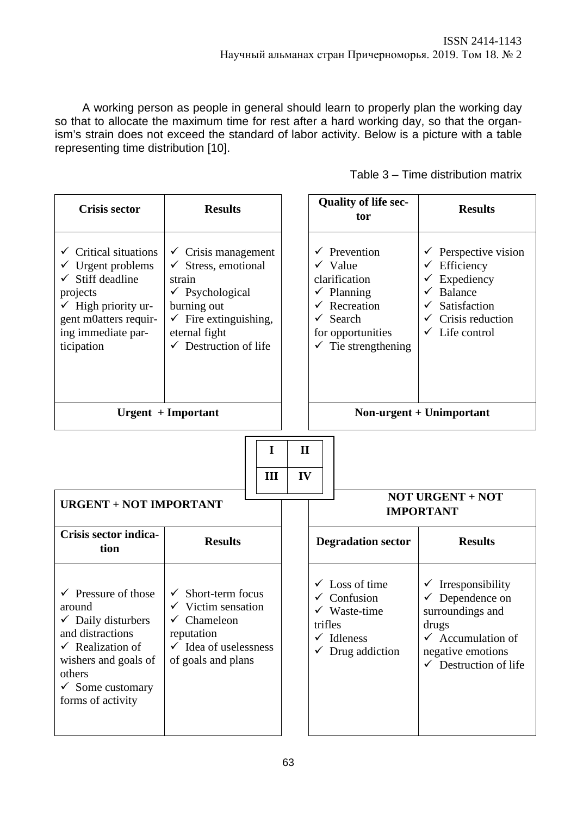A working person as people in general should learn to properly plan the working day so that to allocate the maximum time for rest after a hard working day, so that the organism's strain does not exceed the standard of labor activity. Below is a picture with a table representing time distribution [10].

| Table 3 – Time distribution matrix |  |  |
|------------------------------------|--|--|
|------------------------------------|--|--|

| <b>Crisis sector</b>                                                                                                                                                                                               | <b>Results</b>                                                                                                                                                                                      |                                                                   | <b>Quality of life sec-</b><br>tor                                                                                                                                                                     | <b>Results</b>                                                                                                                                                                      |  |  |  |
|--------------------------------------------------------------------------------------------------------------------------------------------------------------------------------------------------------------------|-----------------------------------------------------------------------------------------------------------------------------------------------------------------------------------------------------|-------------------------------------------------------------------|--------------------------------------------------------------------------------------------------------------------------------------------------------------------------------------------------------|-------------------------------------------------------------------------------------------------------------------------------------------------------------------------------------|--|--|--|
| $\checkmark$ Critical situations<br>Urgent problems<br>Stiff deadline<br>projects<br>$\checkmark$ High priority ur-<br>gent m0atters requir-<br>ing immediate par-<br>ticipation                                   | $\checkmark$ Crisis management<br>Stress, emotional<br>strain<br>$\checkmark$ Psychological<br>burning out<br>$\checkmark$ Fire extinguishing,<br>eternal fight<br>$\checkmark$ Destruction of life |                                                                   | $\checkmark$ Prevention<br>$\checkmark$ Value<br>clarification<br>$\checkmark$ Planning<br>Recreation<br>$\checkmark$<br>Search<br>$\checkmark$<br>for opportunities<br>$\checkmark$ Tie strengthening | $\checkmark$ Perspective vision<br>$\checkmark$ Efficiency<br>$\checkmark$ Expediency<br>$\checkmark$ Balance<br>Satisfaction<br>✓<br>Crisis reduction<br>$\checkmark$ Life control |  |  |  |
|                                                                                                                                                                                                                    | <b>Urgent</b> + Important                                                                                                                                                                           |                                                                   |                                                                                                                                                                                                        | Non-urgent + Unimportant                                                                                                                                                            |  |  |  |
| <b>URGENT + NOT IMPORTANT</b>                                                                                                                                                                                      | I<br>Ш                                                                                                                                                                                              | $\mathbf{I}$<br>IV<br><b>NOT URGENT + NOT</b><br><b>IMPORTANT</b> |                                                                                                                                                                                                        |                                                                                                                                                                                     |  |  |  |
| Crisis sector indica-<br>tion                                                                                                                                                                                      | <b>Results</b>                                                                                                                                                                                      |                                                                   | <b>Degradation sector</b>                                                                                                                                                                              | <b>Results</b>                                                                                                                                                                      |  |  |  |
| $\checkmark$ Pressure of those<br>around<br>$\checkmark$ Daily disturbers<br>and distractions<br>$\checkmark$ Realization of<br>wishers and goals of<br>others<br>$\checkmark$ Some customary<br>forms of activity | Short-term focus<br>$\checkmark$<br>$\checkmark$ Victim sensation<br>$\checkmark$<br>Chameleon<br>reputation<br>$\checkmark$ Idea of uselessness<br>of goals and plans                              |                                                                   | Loss of time<br>Confusion<br>$\checkmark$ Waste-time<br>trifles<br>$\checkmark$ Idleness<br>$\checkmark$ Drug addiction                                                                                | $\checkmark$ Irresponsibility<br>$\checkmark$ Dependence on<br>surroundings and<br>drugs<br>$\checkmark$ Accumulation of<br>negative emotions<br>$\checkmark$ Destruction of life   |  |  |  |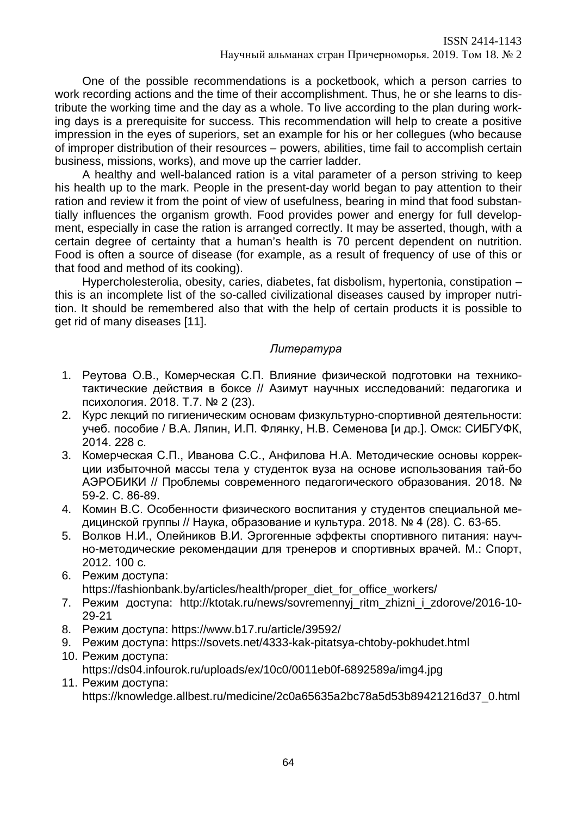One of the possible recommendations is a pocketbook, which a person carries to work recording actions and the time of their accomplishment. Thus, he or she learns to distribute the working time and the day as a whole. To live according to the plan during working days is a prerequisite for success. This recommendation will help to create a positive impression in the eyes of superiors, set an example for his or her collegues (who because of improper distribution of their resources – powers, abilities, time fail to accomplish certain business, missions, works), and move up the carrier ladder.

A healthy and well-balanced ration is a vital parameter of a person striving to keep his health up to the mark. People in the present-day world began to pay attention to their ration and review it from the point of view of usefulness, bearing in mind that food substantially influences the organism growth. Food provides power and energy for full development, especially in case the ration is arranged correctly. It may be asserted, though, with a certain degree of certainty that a human's health is 70 percent dependent on nutrition. Food is often a source of disease (for example, as a result of frequency of use of this or that food and method of its cooking).

Hypercholesterolia, obesity, caries, diabetes, fat disbolism, hypertonia, constipation – this is an incomplete list of the so-called civilizational diseases caused by improper nutrition. It should be remembered also that with the help of certain products it is possible to get rid of many diseases [11].

# *Литература*

- 1. Реутова О.В., Комерческая С.П. Влияние физической подготовки на техникотактические действия в боксе // Азимут научных исследований: педагогика и психология. 2018. Т.7. № 2 (23).
- 2. Курс лекций по гигиеническим основам физкультурно-спортивной деятельности: учеб. пособие / В.А. Ляпин, И.П. Флянку, Н.В. Семенова [и др.]. Омск: СИБГУФК, 2014. 228 с.
- 3. Комерческая С.П., Иванова С.С., Анфилова Н.А. Методические основы коррекции избыточной массы тела у студенток вуза на основе использования тай-бо АЭРОБИКИ // Проблемы современного педагогического образования. 2018. № 59-2. С. 86-89.
- 4. Комин В.С. Особенности физического воспитания у студентов специальной медицинской группы // Наука, образование и культура. 2018. № 4 (28). С. 63-65.
- 5. Волков Н.И., Олейников В.И. Эргогенные эффекты спортивного питания: научно-методические рекомендации для тренеров и спортивных врачей. М.: Спорт, 2012. 100 с.
- 6. Режим доступа: https://fashionbank.by/articles/health/proper\_diet\_for\_office\_workers/
- 7. Режим доступа: http://ktotak.ru/news/sovremennyj\_ritm\_zhizni\_i\_zdorove/2016-10- 29-21
- 8. Режим доступа: https://www.b17.ru/article/39592/
- 9. Режим доступа: https://sovets.net/4333-kak-pitatsya-chtoby-pokhudet.html
- 10. Режим доступа: https://ds04.infourok.ru/uploads/ex/10c0/0011eb0f-6892589a/img4.jpg
- 11. Режим доступа: https://knowledge.allbest.ru/medicine/2c0a65635a2bc78a5d53b89421216d37\_0.html